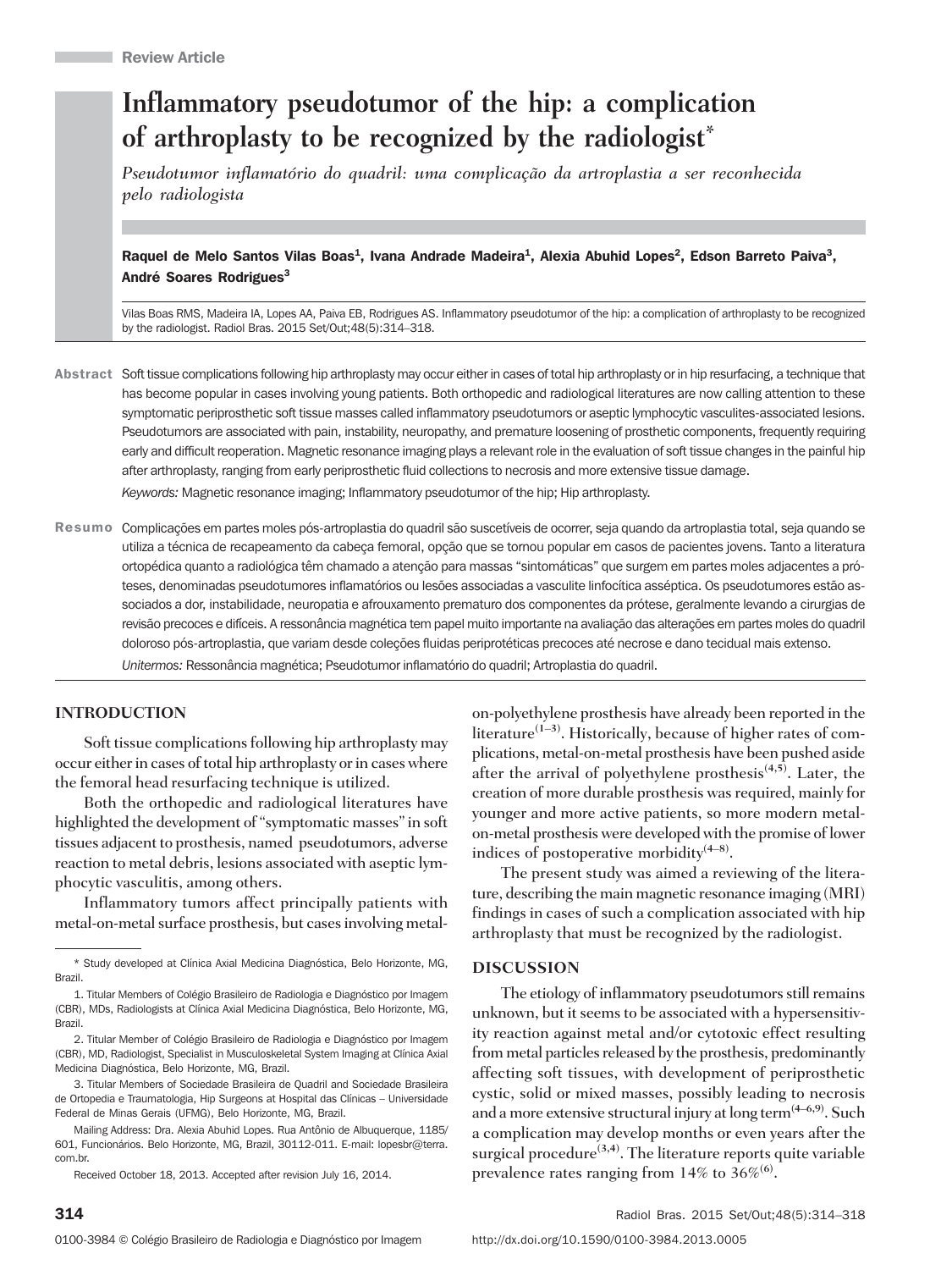# Inflammatory pseudotumor of the hip: a complication of arthroplasty to be recognized by the radiologist\*

Pseudotumor inflamatório do quadril: uma complicação da artroplastia a ser reconhecida pelo radiologista

Raquel de Melo Santos Vilas Boas<sup>1</sup>, Ivana Andrade Madeira<sup>1</sup>, Alexia Abuhid Lopes<sup>2</sup>, Edson Barreto Paiva<sup>3</sup>, André Soares Rodrigues<sup>3</sup>

Vilas Boas RMS, Madeira IA, Lopes AA, Paiva EB, Rodrigues AS. Inflammatory pseudotumor of the hip: a complication of arthroplasty to be recognized by the radiologist. Radiol Bras. 2015 Set/Out;48(5):314–318.

- Abstract Soft tissue complications following hip arthroplasty may occur either in cases of total hip arthroplasty or in hip resurfacing, a technique that has become popular in cases involving young patients. Both orthopedic and radiological literatures are now calling attention to these symptomatic periprosthetic soft tissue masses called inflammatory pseudotumors or aseptic lymphocytic vasculites-associated lesions. Pseudotumors are associated with pain, instability, neuropathy, and premature loosening of prosthetic components, frequently requiring early and difficult reoperation. Magnetic resonance imaging plays a relevant role in the evaluation of soft tissue changes in the painful hip after arthroplasty, ranging from early periprosthetic fluid collections to necrosis and more extensive tissue damage. Keywords: Magnetic resonance imaging; Inflammatory pseudotumor of the hip; Hip arthroplasty.
- Resumo Complicações em partes moles pós-artroplastia do quadril são suscetíveis de ocorrer, seja quando da artroplastia total, seja quando se utiliza a técnica de recapeamento da cabeça femoral, opção que se tornou popular em casos de pacientes jovens. Tanto a literatura ortopédica quanto a radiológica têm chamado a atenção para massas "sintomáticas" que surgem em partes moles adjacentes a próteses, denominadas pseudotumores inflamatórios ou lesões associadas a vasculite linfocítica asséptica. Os pseudotumores estão associados a dor, instabilidade, neuropatia e afrouxamento prematuro dos componentes da prótese, geralmente levando a cirurgias de revisão precoces e difíceis. A ressonância magnética tem papel muito importante na avaliação das alterações em partes moles do quadril doloroso pós-artroplastia, que variam desde coleções fluidas periprotéticas precoces até necrose e dano tecidual mais extenso.

Unitermos: Ressonância magnética; Pseudotumor inflamatório do quadril; Artroplastia do quadril.

## INTRODUCTION

Soft tissue complications following hip arthroplasty may occur either in cases of total hip arthroplasty or in cases where the femoral head resurfacing technique is utilized.

Both the orthopedic and radiological literatures have highlighted the development of "symptomatic masses" in soft tissues adjacent to prosthesis, named pseudotumors, adverse reaction to metal debris, lesions associated with aseptic lymphocytic vasculitis, among others.

Inflammatory tumors affect principally patients with metal-on-metal surface prosthesis, but cases involving metal-

3. Titular Members of Sociedade Brasileira de Quadril and Sociedade Brasileira de Ortopedia e Traumatologia, Hip Surgeons at Hospital das Clínicas – Universidade Federal de Minas Gerais (UFMG), Belo Horizonte, MG, Brazil.

Mailing Address: Dra. Alexia Abuhid Lopes. Rua Antônio de Albuquerque, 1185/ 601, Funcionários. Belo Horizonte, MG, Brazil, 30112-011. E-mail: lopesbr@terra. com.br.

Received October 18, 2013. Accepted after revision July 16, 2014.

0100-3984 © Colégio Brasileiro de Radiologia e Diagnóstico por Imagem

on-polyethylene prosthesis have already been reported in the literature<sup>(1–3)</sup>. Historically, because of higher rates of complications, metal-on-metal prosthesis have been pushed aside after the arrival of polyethylene prosthesis<sup> $(4,5)$ </sup>. Later, the creation of more durable prosthesis was required, mainly for younger and more active patients, so more modern metalon-metal prosthesis were developed with the promise of lower indices of postoperative morbidity $(4-8)$ .

The present study was aimed a reviewing of the literature, describing the main magnetic resonance imaging (MRI) findings in cases of such a complication associated with hip arthroplasty that must be recognized by the radiologist.

#### DISCUSSION

The etiology of inflammatory pseudotumors still remains unknown, but it seems to be associated with a hypersensitivity reaction against metal and/or cytotoxic effect resulting from metal particles released by the prosthesis, predominantly affecting soft tissues, with development of periprosthetic cystic, solid or mixed masses, possibly leading to necrosis and a more extensive structural injury at long term<sup>(4-6,9)</sup>. Such a complication may develop months or even years after the surgical procedure<sup>(3,4)</sup>. The literature reports quite variable prevalence rates ranging from  $14\%$  to  $36\%^{(6)}$ .

<sup>\*</sup> Study developed at Clínica Axial Medicina Diagnóstica, Belo Horizonte, MG, Brazil.

<sup>1.</sup> Titular Members of Colégio Brasileiro de Radiologia e Diagnóstico por Imagem (CBR), MDs, Radiologists at Clínica Axial Medicina Diagnóstica, Belo Horizonte, MG, Brazil.

<sup>2.</sup> Titular Member of Colégio Brasileiro de Radiologia e Diagnóstico por Imagem (CBR), MD, Radiologist, Specialist in Musculoskeletal System Imaging at Clínica Axial Medicina Diagnóstica, Belo Horizonte, MG, Brazil.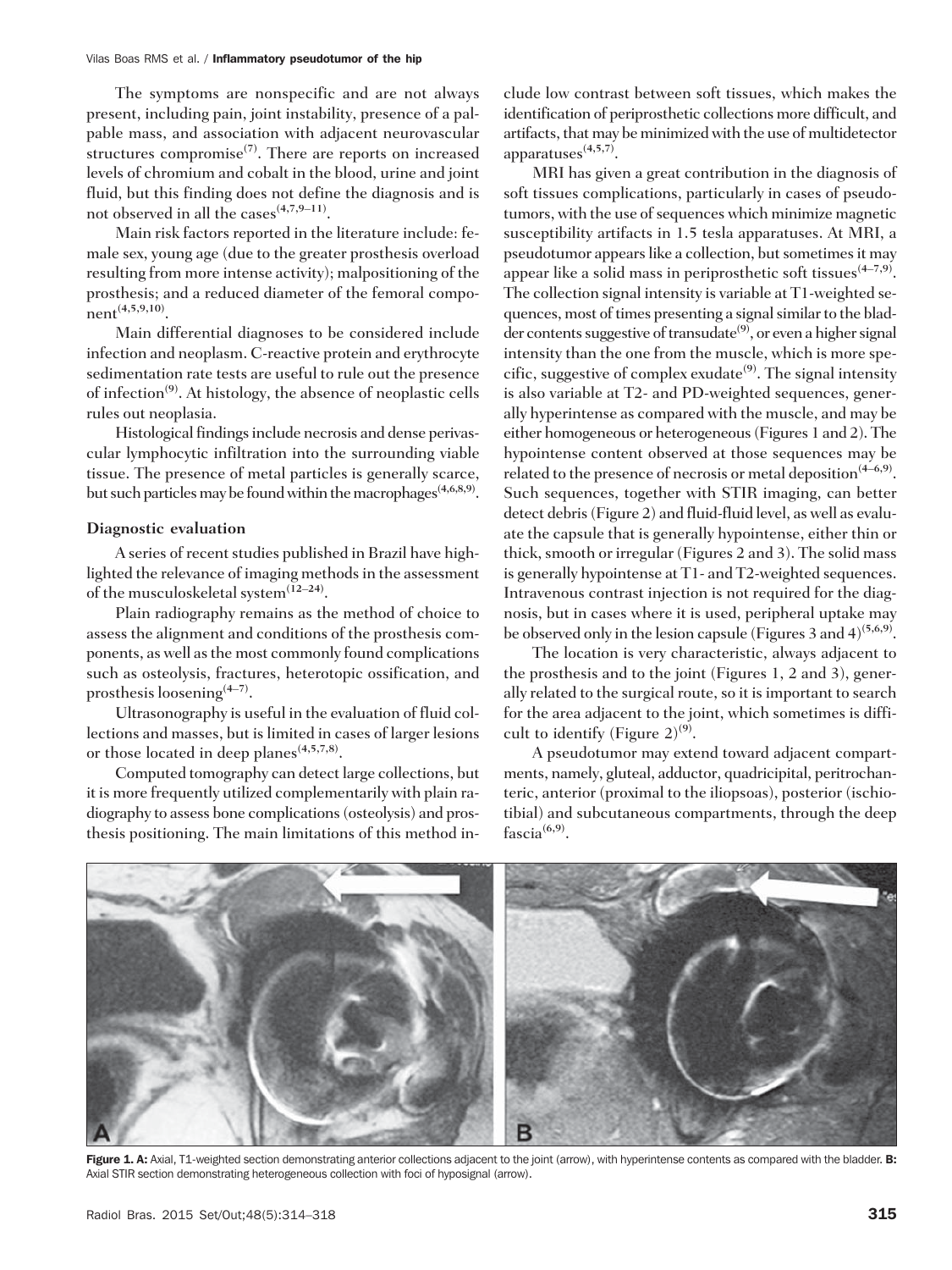The symptoms are nonspecific and are not always present, including pain, joint instability, presence of a palpable mass, and association with adjacent neurovascular structures compromise<sup>(7)</sup>. There are reports on increased levels of chromium and cobalt in the blood, urine and joint fluid, but this finding does not define the diagnosis and is not observed in all the cases $(4,7,9-11)$ .

Main risk factors reported in the literature include: female sex, young age (due to the greater prosthesis overload resulting from more intense activity); malpositioning of the prosthesis; and a reduced diameter of the femoral compo $nent^{(4,5,9,10)}$ .

Main differential diagnoses to be considered include infection and neoplasm. C-reactive protein and erythrocyte sedimentation rate tests are useful to rule out the presence of infection(9). At histology, the absence of neoplastic cells rules out neoplasia.

Histological findings include necrosis and dense perivascular lymphocytic infiltration into the surrounding viable tissue. The presence of metal particles is generally scarce, but such particles may be found within the macrophages<sup>(4,6,8,9)</sup>.

#### Diagnostic evaluation

A series of recent studies published in Brazil have highlighted the relevance of imaging methods in the assessment of the musculoskeletal system $(12-24)$ .

Plain radiography remains as the method of choice to assess the alignment and conditions of the prosthesis components, as well as the most commonly found complications such as osteolysis, fractures, heterotopic ossification, and prosthesis loosening<sup> $(4-7)$ </sup>.

Ultrasonography is useful in the evaluation of fluid collections and masses, but is limited in cases of larger lesions or those located in deep planes<sup> $(4,5,7,8)$ </sup>.

Computed tomography can detect large collections, but it is more frequently utilized complementarily with plain radiography to assess bone complications (osteolysis) and prosthesis positioning. The main limitations of this method in-

clude low contrast between soft tissues, which makes the identification of periprosthetic collections more difficult, and artifacts, that may be minimized with the use of multidetector apparatuses $(4,5,7)$ .

MRI has given a great contribution in the diagnosis of soft tissues complications, particularly in cases of pseudotumors, with the use of sequences which minimize magnetic susceptibility artifacts in 1.5 tesla apparatuses. At MRI, a pseudotumor appears like a collection, but sometimes it may appear like a solid mass in periprosthetic soft tissues  $(4-7,9)$ . The collection signal intensity is variable at T1-weighted sequences, most of times presenting a signal similar to the bladder contents suggestive of transudate<sup>(9)</sup>, or even a higher signal intensity than the one from the muscle, which is more specific, suggestive of complex exudate $(9)$ . The signal intensity is also variable at T2- and PD-weighted sequences, generally hyperintense as compared with the muscle, and may be either homogeneous or heterogeneous (Figures 1 and 2). The hypointense content observed at those sequences may be related to the presence of necrosis or metal deposition<sup> $(4-6,9)$ </sup>. Such sequences, together with STIR imaging, can better detect debris (Figure 2) and fluid-fluid level, as well as evaluate the capsule that is generally hypointense, either thin or thick, smooth or irregular (Figures 2 and 3). The solid mass is generally hypointense at T1- and T2-weighted sequences. Intravenous contrast injection is not required for the diagnosis, but in cases where it is used, peripheral uptake may be observed only in the lesion capsule (Figures 3 and  $4^{(5,6,9)}$ .

The location is very characteristic, always adjacent to the prosthesis and to the joint (Figures 1, 2 and 3), generally related to the surgical route, so it is important to search for the area adjacent to the joint, which sometimes is difficult to identify (Figure 2)<sup>(9)</sup>.

A pseudotumor may extend toward adjacent compartments, namely, gluteal, adductor, quadricipital, peritrochanteric, anterior (proximal to the iliopsoas), posterior (ischiotibial) and subcutaneous compartments, through the deep fascia $^{(6,9)}$ .



Figure 1. A: Axial, T1-weighted section demonstrating anterior collections adjacent to the joint (arrow), with hyperintense contents as compared with the bladder. B: Axial STIR section demonstrating heterogeneous collection with foci of hyposignal (arrow).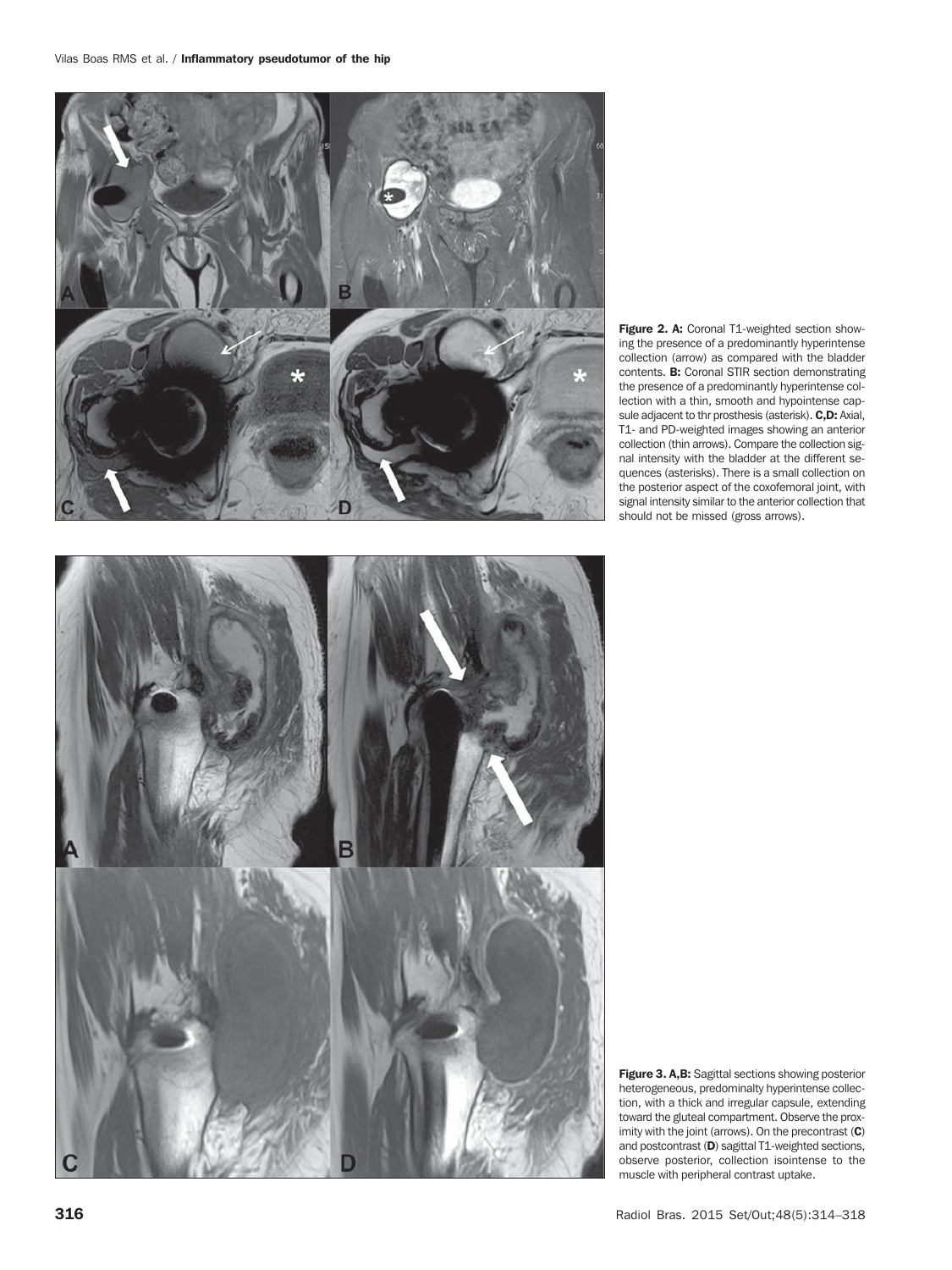

Figure 2. A: Coronal T1-weighted section showing the presence of a predominantly hyperintense collection (arrow) as compared with the bladder contents. B: Coronal STIR section demonstrating the presence of a predominantly hyperintense collection with a thin, smooth and hypointense capsule adjacent to thr prosthesis (asterisk). C,D: Axial, T1- and PD-weighted images showing an anterior collection (thin arrows). Compare the collection signal intensity with the bladder at the different sequences (asterisks). There is a small collection on the posterior aspect of the coxofemoral joint, with signal intensity similar to the anterior collection that should not be missed (gross arrows).



Figure 3. A,B: Sagittal sections showing posterior heterogeneous, predominalty hyperintense collection, with a thick and irregular capsule, extending toward the gluteal compartment. Observe the proximity with the joint (arrows). On the precontrast (C) and postcontrast (D) sagittal T1-weighted sections, observe posterior, collection isointense to the muscle with peripheral contrast uptake.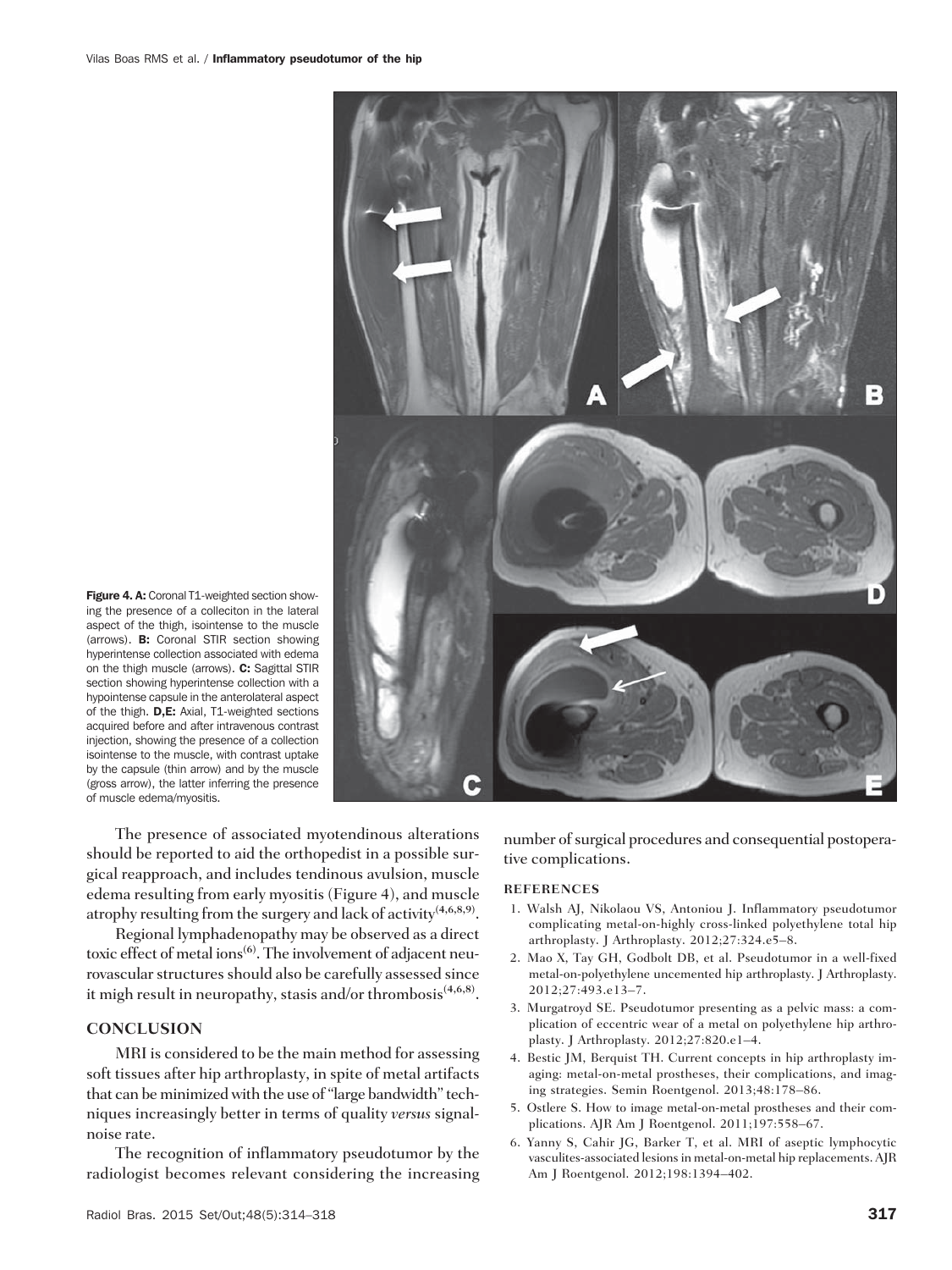

Figure 4. A: Coronal T1-weighted section showing the presence of a colleciton in the lateral aspect of the thigh, isointense to the muscle (arrows). B: Coronal STIR section showing hyperintense collection associated with edema on the thigh muscle (arrows). C: Sagittal STIR section showing hyperintense collection with a hypointense capsule in the anterolateral aspect of the thigh. D,E: Axial, T1-weighted sections acquired before and after intravenous contrast injection, showing the presence of a collection isointense to the muscle, with contrast uptake by the capsule (thin arrow) and by the muscle (gross arrow), the latter inferring the presence of muscle edema/myositis.

The presence of associated myotendinous alterations should be reported to aid the orthopedist in a possible surgical reapproach, and includes tendinous avulsion, muscle edema resulting from early myositis (Figure 4), and muscle atrophy resulting from the surgery and lack of activity<sup>(4,6,8,9)</sup>.

Regional lymphadenopathy may be observed as a direct toxic effect of metal ions<sup>(6)</sup>. The involvement of adjacent neurovascular structures should also be carefully assessed since it migh result in neuropathy, stasis and/or thrombosis<sup>(4,6,8)</sup>.

### **CONCLUSION**

MRI is considered to be the main method for assessing soft tissues after hip arthroplasty, in spite of metal artifacts that can be minimized with the use of "large bandwidth" techniques increasingly better in terms of quality versus signalnoise rate.

The recognition of inflammatory pseudotumor by the radiologist becomes relevant considering the increasing number of surgical procedures and consequential postoperative complications.

#### **REFERENCES**

- 1. Walsh AJ, Nikolaou VS, Antoniou J. Inflammatory pseudotumor complicating metal-on-highly cross-linked polyethylene total hip arthroplasty. J Arthroplasty. 2012;27:324.e5–8.
- 2. Mao X, Tay GH, Godbolt DB, et al. Pseudotumor in a well-fixed metal-on-polyethylene uncemented hip arthroplasty. J Arthroplasty. 2012;27:493.e13–7.
- 3. Murgatroyd SE. Pseudotumor presenting as a pelvic mass: a complication of eccentric wear of a metal on polyethylene hip arthroplasty. J Arthroplasty. 2012;27:820.e1–4.
- 4. Bestic JM, Berquist TH. Current concepts in hip arthroplasty imaging: metal-on-metal prostheses, their complications, and imaging strategies. Semin Roentgenol. 2013;48:178–86.
- 5. Ostlere S. How to image metal-on-metal prostheses and their complications. AJR Am J Roentgenol. 2011;197:558–67.
- 6. Yanny S, Cahir JG, Barker T, et al. MRI of aseptic lymphocytic vasculites-associated lesions in metal-on-metal hip replacements. AJR Am J Roentgenol. 2012;198:1394–402.